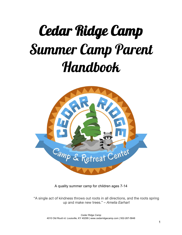# Cedar Ridge Camp Summer Camp Parent Handbook



A quality summer camp for children ages 7-14

"A single act of kindness throws out roots in all directions, and the roots spring up and make new trees." – *Amelia Earhart*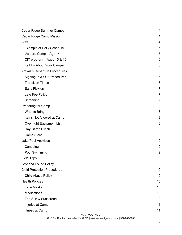| Cedar Ridge Summer Camps                  | 4              |
|-------------------------------------------|----------------|
| <b>Cedar Ridge Camp Mission</b>           | 4              |
| Staff                                     | 4              |
| <b>Example of Daily Schedule</b>          | 5              |
| Venture Camp - Age 14                     | 5              |
| CIT program $-$ Ages 15 & 16              | 6              |
| Tell Us About Your Camper                 | 6              |
| <b>Arrival &amp; Departure Procedures</b> | 6              |
| Signing In & Out Procedures               | 6              |
| <b>Transition Times</b>                   | 6              |
| Early Pick-up                             | $\overline{7}$ |
| Late Fee Policy                           | 7              |
| Screening                                 | $\overline{7}$ |
| Preparing for Camp                        | 8              |
| What to Bring                             | 8              |
| Items Not Allowed at Camp                 | 8              |
| <b>Overnight Equipment List</b>           | 8              |
| Day Camp Lunch                            | 8              |
| Camp Store                                | 9              |
| <b>Lake/Pool Activities</b>               | 9              |
| Canoeing                                  | 9              |
| Pool Swimming                             | 9              |
| <b>Field Trips</b>                        | 9              |
| Lost and Found Policy                     | 9              |
| <b>Child Protection Procedures</b>        | 10             |
| <b>Child Abuse Policy</b>                 | 10             |
| <b>Health Policies</b>                    | 10             |
| <b>Face Masks</b>                         | 10             |
| <b>Medications</b>                        | 10             |
| The Sun & Sunscreen                       | 10             |
| Injuries at Camp                          | 11             |
| Illness at Camp                           | 11             |

*Cedar Ridge Camp*

4010 Old Routt rd. Louisville, KY 40299 | www.cedarridgecamp.com | 502-267-5848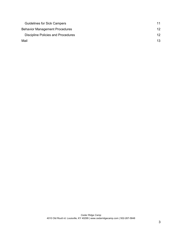| <b>Guidelines for Sick Campers</b>    | 11 |
|---------------------------------------|----|
| <b>Behavior Management Procedures</b> | 12 |
| Discipline Policies and Procedures    | 12 |
| Mail                                  | 13 |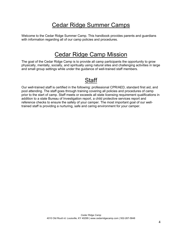## Cedar Ridge Summer Camps

Welcome to the Cedar Ridge Summer Camp. This handbook provides parents and guardians with information regarding all of our camp policies and procedures.

## Cedar Ridge Camp Mission

The goal of the Cedar Ridge Camp is to provide all camp participants the opportunity to grow physically, mentally, socially, and spiritually using natural sites and challenging activities in large and small group settings while under the guidance of well-trained staff members.

## **Staff**

Our well-trained staff is certified in the following: professional CPR/AED, standard first aid, and pool attending. The staff goes through training covering all policies and procedures of camp prior to the start of camp. Staff meets or exceeds all state licensing requirement qualifications in addition to a state Bureau of Investigation report, a child protective services report and reference checks to ensure the safety of your camper. The most important goal of our welltrained staff is providing a nurturing, safe and caring environment for your camper.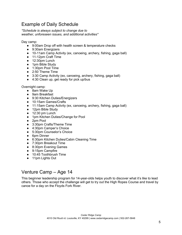## Example of Daily Schedule

*\*Schedule is always subject to change due to weather, unforeseen issues, and additional activities\**

Day camp:

- 9:00am Drop off with health screen & temperature checks
- 9:30am Energizers
- 10-11am Camp Activity (ex, canoeing, archery, fishing, gaga ball)
- 11-12pm Craft Time
- 12:30pm Lunch
- 1pm Bible Study
- 1:30pm Pool Time
- 2:50 Theme Time
- 3:30 Camp Activity (ex, canoeing, archery, fishing, gaga ball)
- 4:30 Clean up, get ready for pick up/bus

Overnight camp:

- 8am Wake Up
- 9am Breakfast
- 9:30 Kitchen Duties/Energizers
- 10:15am Games/Crafts
- 11:15am Camp Activity (ex, canoeing, archery, fishing, gaga ball)
- 12pm Bible Study
- $\bullet$  12:30 pm Lunch
- 1pm Kitchen Duties/Change for Pool
- 2pm Pool
- 3:30pm Crafts/Theme Time
- 4:30pm Camper's Choice
- 5:30pm Counselor's Choice
- 6pm Dinner
- 6:30pm Kitchen Duties/Cabin Cleaning Time
- 7:30pm Breakout Time
- 8:30pm Evening Games
- 9:15pm Campfire
- 10:45 Toothbrush Time
- 11pm Lights Out

## Venture Camp – Age 14

This beginner leadership program for 14-year-olds helps youth to discover what it's like to lead others. Those who accept the challenge will get to try out the High Ropes Course and travel by canoe for a day on the Floyds Fork River.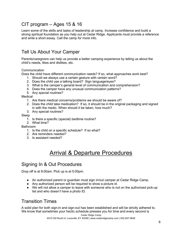## CIT program – Ages 15 & 16

Learn some of the skills and tasks of leadership at camp. Increase confidence and build a strong spiritual foundation as you help out at Cedar Ridge. Applicants must provide a reference and write a short essay. Call the camp for more info.

## Tell Us About Your Camper

Parents/caregivers can help us provide a better camping experience by telling us about the child's needs, likes and dislikes, etc.

**Communication** 

Does the child have different communication needs? If so, what approaches work best?

- 1. Should we always use a certain gesture with certain word?
- 2. Does the child use a talking board? Sign language/eyes?
- 3. What is the camper's general level of communication and comprehension?
- 4. Does the camper have any unusual communication patterns?
- 5. Any special routines?

**Medical** 

- 1. Are there medical concerns/problems we should be aware of?
- 2. Does the child take medication? If so, it should be in the original packaging and signed in with the medic. When should it be taken, how much?
- 3. Any special routines?

Sleep

- 1. Is there a specific (special) bedtime routine?
- 2. What time?

Bathroom

- 1. Is the child on a specific schedule? If so what?
- 2. Are reminders needed?
- 3. Is assistant needed?

## Arrival & Departure Procedures

## Signing In & Out Procedures

Drop off is at 9:00am. Pick up is at 5:00pm.

- An authorized parent or guardian must sign in/out camper at Cedar Ridge Camp.
- Any authorized person will be required to show a picture id.
- We will not allow a camper to leave with someone who is not on the authorized pick-up list and who doesn't have a photo ID.

## Transition Times

A solid plan for both sign-in and sign-out has been established and will be strictly adhered to. We know that sometimes your hectic schedule presses you for time and every second is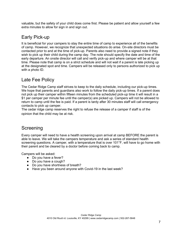valuable, but the safety of your child does come first. Please be patient and allow yourself a few extra minutes to allow for sign in and sign out.

## Early Pick-up

It is beneficial for your campers to stay the entire time of camp to experience all of the benefits of camp. However, we recognize that unexpected situations do arise. On-site directors must be contacted prior to and at the time of pick-up. Parents also need to provide a signed note if they wish to pick up their child during the camp day. The note should specify the date and time of the early departure. An onsite director will call and verify pick-up and where camper will be at that time. Please note that camp is on a strict schedule and will not wait if a parent is late picking up at the designated spot and time. Campers will be released only to persons authorized to pick up with a photo ID.

## Late Fee Policy

The Cedar Ridge Camp staff strives to keep to the daily schedule, including our pick-up times. We hope that parents and guardians also work to follow the daily pick-up times. If a parent does not pick up their camper within fifteen minutes from the scheduled pick-up time it will result in a \$1 per camper per minute fee until the camper(s) are picked up. Campers will not be allowed to return to camp until the fee is paid. If a parent is tardy after 30 minutes staff will call emergency contacts to pick up camper.

The cedar ridge camp reserves the right to refuse the release of a camper if staff is of the opinion that the child may be at risk.

## Screening

Every camper will need to have a health screening upon arrival at camp BEFORE the parent is able to leave. We will take the campers temperature and ask a series of standard health screening questions. A camper, with a temperature that is over 101°F, will have to go home with their parent and be cleared by a doctor before coming back to camp.

Campers will be asked:

- Do you have a fever?
- Do you have a cough?
- Do you have shortness of breath?
- Have you been around anyone with Covid-19 in the last week?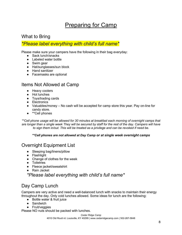## Preparing for Camp

## What to Bring

#### *\*Please label everything with child's full name\**

Please make sure your campers have the following in their bag everyday:

- Sack lunch/snacks
- Labeled water bottle
- Swim gear
- Hat/sunglasses/sun block
- Hand sanitizer
- Facemasks are optional

## Items Not Allowed at Camp

- Heavy coolers
- Hot lunches
- Toys/trading cards
- Electronics
- Valuables/money No cash will be accepted for camp store this year. Pay on-line for candy store.
- **\*\*Cell phones**

*\*\*Cell phone usage will be allowed for 30 minutes at breakfast each morning of overnight camps that are longer than a single week They will be secured by staff for the rest of the day. Campers will have to sign them in/out. This will be treated as a privilege and can be revoked if need be.*

#### *\*\*Cell phones are not allowed at Day Camp or at single week overnight camps*

## Overnight Equipment List

- Sleeping bag/linens/pillow
- Flashlight
- Change of clothes for the week
- Toiletries
- Fleece jacket/sweatshirt
- Rain Jacket

*\*Please label everything with child's full name\**

## Day Camp Lunch

Campers are very active and need a well-balanced lunch with snacks to maintain their energy throughout the day. Only cold lunches allowed. Some ideas for lunch are the following:

- Bottle water & fruit juice
- Sandwich
- Fruit/veggies

Please NO nuts should be packed with lunches.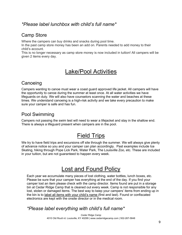#### *\*Please label lunchbox with child's full name\**

#### Camp Store

Where the campers can buy drinks and snacks during pool time.

In the past camp store money has been an add on. Parents needed to add money to their child's account.

This is no longer necessary as camp store money is now included in tuition! All campers will be given 2 items every day.

## Lake/Pool Activities

## **Canoeing**

Campers wanting to canoe must wear a coast guard approved life jacket. All campers will have the opportunity to canoe during the summer at least once. At all water activities we have lifeguards on duty. We will also have counselors scanning the water and beaches at these times. We understand canoeing is a high-risk activity and we take every precaution to make sure your camper is safe and has fun.

## Pool Swimming

Campers not passing the swim test will need to wear a lifejacket and stay in the shallow end. There is always a lifeguard present when campers are in the pool.

## Field Trips

We try to have field trips and excursions off site through the summer. We will always give plenty of advance notice so you and your camper can plan accordingly. Past examples include Ice Skating, hiking through Pope Lick Park, Water Park, The Louisville Zoo, etc. These are included in your tuition, but are not guaranteed to happen every week.

## Lost and Found Policy

Each year we accumulate many pieces of lost clothing, water bottles, lunch boxes, etc. Please be sure that your camper has everything at the end of the day. If you find your camper lost an item please check with the camp director. Items found are put in a storage bin at Cedar Ridge Camp that is cleaned out every week. Camp is not responsible for any lost, stolen or damaged items. The best way to keep your campers' items from ending up in the bin is to label all items with your child's name (first and last). Found or confiscated electronics are kept with the onsite director or in the medical room.

## *\*Please label everything with child's full name\**

*Cedar Ridge Camp* 4010 Old Routt rd. Louisville, KY 40299 | www.cedarridgecamp.com | 502-267-5848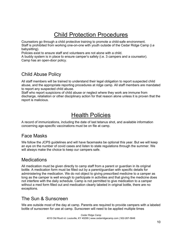## Child Protection Procedures

Counselors go through a child protective training to promote a child-safe environment. Staff is prohibited from working one-on-one with youth outside of the Cedar Ridge Camp (i.e babysitting).

Policies exist to ensure staff and volunteers are not alone with a child.

A buddy system is in place to ensure camper's safety (i.e. 3 campers and a counselor). Camp has an open-door policy.

## Child Abuse Policy

All staff members will be trained to understand their legal obligation to report suspected child abuse, and the appropriate reporting procedures at ridge camp. All staff members are mandated to report any suspected child abuse.

Staff who report suspicions of child abuse or neglect where they work are immune from discharge, retaliation or other disciplinary action for that reason alone unless it is proven that the report is malicious.

## Health Policies

A record of immunizations, including the date of last tetanus shot, and available information concerning age-specific vaccinations must be on file at camp.

## Face Masks

We follow the JCPS guidelines and will have facemasks be optional this year. But we will keep an eye on the number of covid cases and listen to state regulations through the summer. We will always make the choice to keep our campers safe.

#### **Medications**

All medication must be given directly to camp staff from a parent or guardian in its original bottle. A medication form must be filled out by a parent/guardian with specific details for administering the medication. We do not object to giving prescribed medicine to a camper as long as the camper is well enough to participate in activities and that giving the medicine does not interfere with the daily schedule. Camp is not permitted to give medication to a camper without a med form filled out and medication clearly labeled in original bottle, there are no exceptions.

## The Sun & Sunscreen

We are outside most of the day at camp. Parents are required to provide campers with a labeled bottle of sunscreen for use at camp. Sunscreen will need to be applied multiple times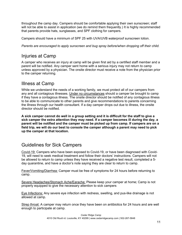throughout the camp day. Campers should be comfortable applying their own sunscreen; staff will not be able to assist in application (we do remind them frequently.) It is highly recommended that parents provide hats, sunglasses, and SPF clothing for campers.

Campers should have a minimum of SPF 25 with UVA/UVB waterproof sunscreen lotion.

*Parents are encouraged to apply sunscreen and bug spray before/when dropping off their child.* 

## Injuries at Camp

A camper who receives an injury at camp will be given first aid by a certified staff member and a parent will be notified. Any camper sent home with a serious injury may not return to camp unless approved by a physician. The onsite director must receive a note from the physician prior to the camper returning.

## Illness at Camp

While we understand the needs of a working family, we must protect all of our campers from any and all contagious illnesses. Under no circumstances should a camper be brought to camp if they have a contagious illness. The onsite director should be notified of any contagious illness to be able to communicate to other parents and give recommendations to parents concerning the illness through our health consultant. If a day camper drops out due to illness, the onsite director should be notified.

**A sick camper cannot do well in a group setting and it is difficult for the staff to give a sick camper the extra attention they may need. If a camper becomes ill during the day, a parent will be notified and the camper must be picked up from camp. If campers are on a field trip, we will do our best to console the camper although a parent may need to pick up the camper at that location.**

## Guidelines for Sick Campers

Covid-19: Campers who have been exposed to Covid-19, or have been diagnosed with Covid-19, will need to seek medical treatment and follow their doctors' instructions. Campers will not be allowed to return to camp unless they have received a negative test result, completed a 5 day quarantine, and have a doctor's note saying they are clear to return to camp.

Fever/Vomiting/Diarrhea: Camper must be free of symptoms for 24 hours before returning to camp.

Severe Headaches/Stomach Ache/Earache: Please keep your camper at home; Camp is not properly equipped to give the necessary attention to sick campers

Eye Infections: Any severe eye infection with redness, swelling, and pus-like drainage is not allowed at camp.

Strep throat: A camper may return once they have been on antibiotics for 24 hours and are well enough to participate at camp.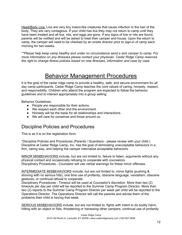Head/Body Lice: Lice are very tiny insect-like creatures that cause infection in the hair of the body. They are very contagious. If your child has lice they may not return to camp until they have been treated and all lice, nits, and eggs are gone. If any signs of lice or nits are found, parents will be notified and will be asked to treat their camper and house. Upon the return to camp, the camper will need to be checked by an onsite director prior to sign-in of camp each morning for two weeks.

*\*\*Please help keep camp healthy and under no circumstance send a sick camper to camp. For more information on any illnesses please contact your physician. Cedar Ridge Camp reserves the right to change illness policies based on new illnesses, information and case by case.*

## Behavior Management Procedures

It is the goal of the cedar ridge camp to provide a healthy, safe, and secure environment for all day camp participants. Cedar Ridge Camp teaches the core values of caring, honesty, respect, and responsibility. Children who attend the program are expected to follow the behavior guidelines and to interact appropriately into a group setting.

Behavior Guidelines:

- People are responsible for their actions.
- We respect each other and the environment.
- Honesty will be the basis for all relationships and interactions.
- We will care for ourselves and those around us.

#### Discipline Policies and Procedures

This is as it is on the registration form:

"Discipline Policies and Procedures (Parents / Guardians - please review with your child.) Discipline at Cedar Ridge Camp, Inc. has the goal of eliminating unacceptable behaviors in a firm, caring way, and helping the camper internalize acceptable behaviors.

MINOR MISBEHAVIORS include, but are not limited to, failure to listen, arguments without any physical contact and occasionally refusing to cooperate with counselors. Disciplinary Procedures - Counselor will use verbal warnings for these minor offenses.

INTERMEDIATE MISBEHAVIORS include, but are not limited to, minor fights (pushing & shoving with no serious hits), one time use of profanity, obscene language, vandalism, obscene gestures, or continual refusal to cooperate.

Disciplinary Procedures - Timeout will be used at Counselor's discretion. More than two (2) timeouts per day per child will be reported to the Summer Camp Program Director. More than two (2) reports to the Summer Camp Program Director per week per child will be reported to the Operations Director. The Operations Director will call the parents and advise them of the problems their child is having that week.

SERIOUS MISBEHAVIORS include, but are not limited to, fights with intent to do bodily harm, hitting with an object or fists, threatening or harassing other campers, continual use of profanity